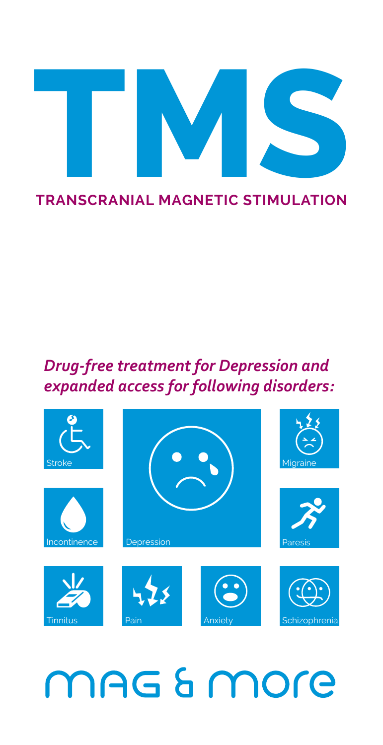

### *Drug-free treatment for Depression and expanded access for following disorders:*



### MAG & MOre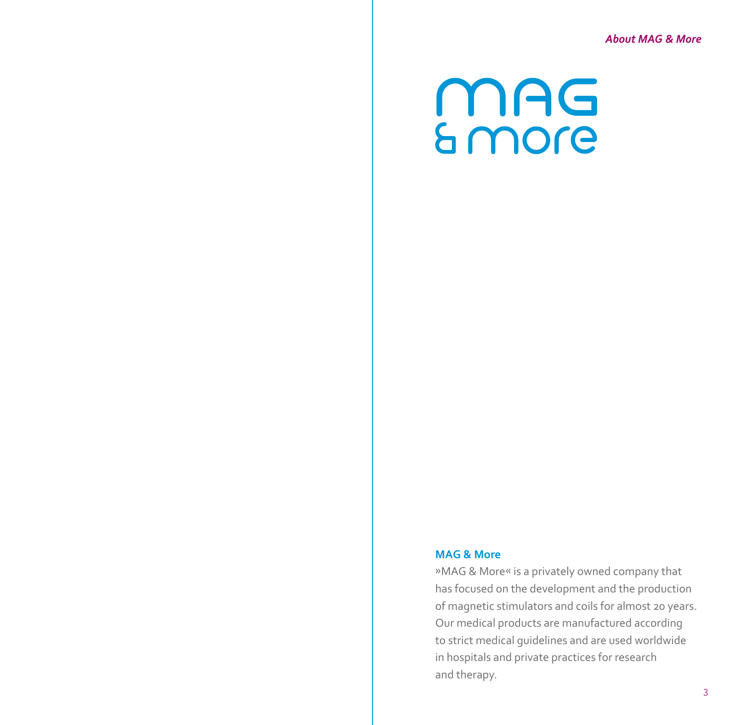### **MAG**<br>Smore

### **MAG & More**

»MAG & More« is a privately owned company that has focused on the development and the production of magnetic stimulators and coils for almost 20 years. Our medical products are manufactured according to strict medical guidelines and are used worldwide in hospitals and private practices for research and therapy.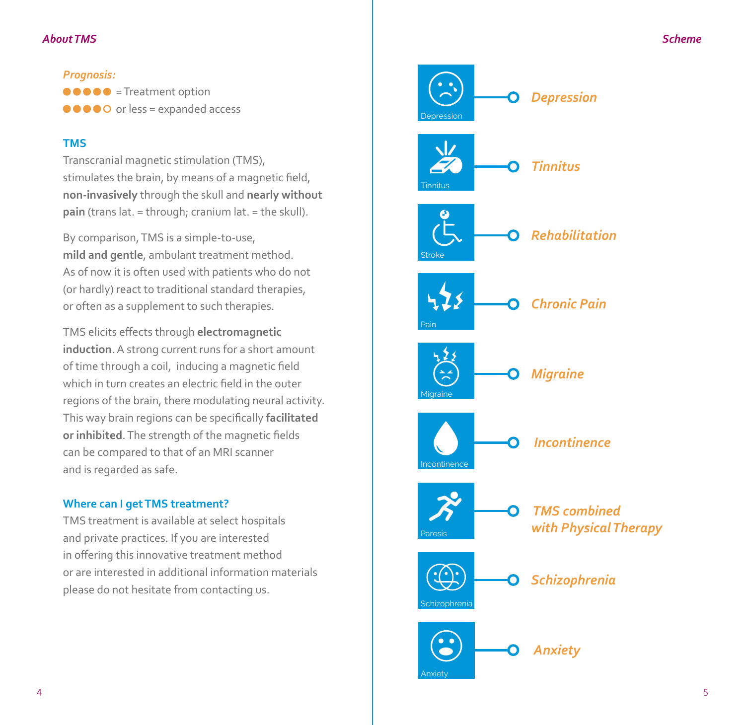### *About TMS*

*Prognosis:*  $\bullet \bullet \bullet \bullet$  = Treatment option  $\bullet \bullet \bullet \bullet \bullet$  or less = expanded access

### **TMS**

Transcranial magnetic stimulation (TMS), stimulates the brain, by means of a magnetic field, **non-invasively** through the skull and **nearly without pain** (trans lat. = through; cranium lat. = the skull).

By comparison, TMS is a simple-to-use, **mild and gentle**, ambulant treatment method. As of now it is often used with patients who do not (or hardly) react to traditional standard therapies, or often as a supplement to such therapies.

TMS elicits effects through **electromagnetic induction**. A strong current runs for a short amount of time through a coil, inducing a magnetic field which in turn creates an electric field in the outer regions of the brain, there modulating neural activity. This way brain regions can be specifically **facilitated or inhibited**. The strength of the magnetic fields can be compared to that of an MRI scanner and is regarded as safe.

### **Where can I get TMS treatment?**

TMS treatment is available at select hospitals and private practices. If you are interested in offering this innovative treatment method or are interested in additional information materials please do not hesitate from contacting us.

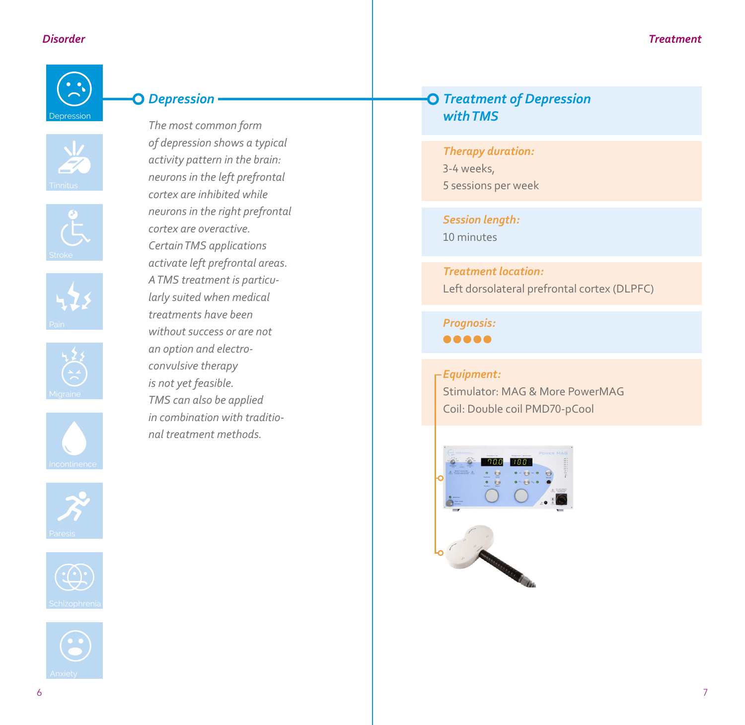

















### *Depression*

*The most common form of depression shows a typical activity pattern in the brain: neurons in the left prefrontal cortex are inhibited while neurons in the right prefrontal cortex are overactive. Certain TMS applications activate left prefrontal areas. A TMS treatment is particularly suited when medical treatments have been without success or are not an option and electroconvulsive therapy is not yet feasible. TMS can also be applied in combination with traditional treatment methods.*

### *Treatment of Depression with TMS*

*Therapy duration:* 3-4 weeks, 5 sessions per week

*Session length:* 10 minutes

*Treatment location:* Left dorsolateral prefrontal cortex (DLPFC)

*Prognosis:*  $00000$ 

### *Equipment:*

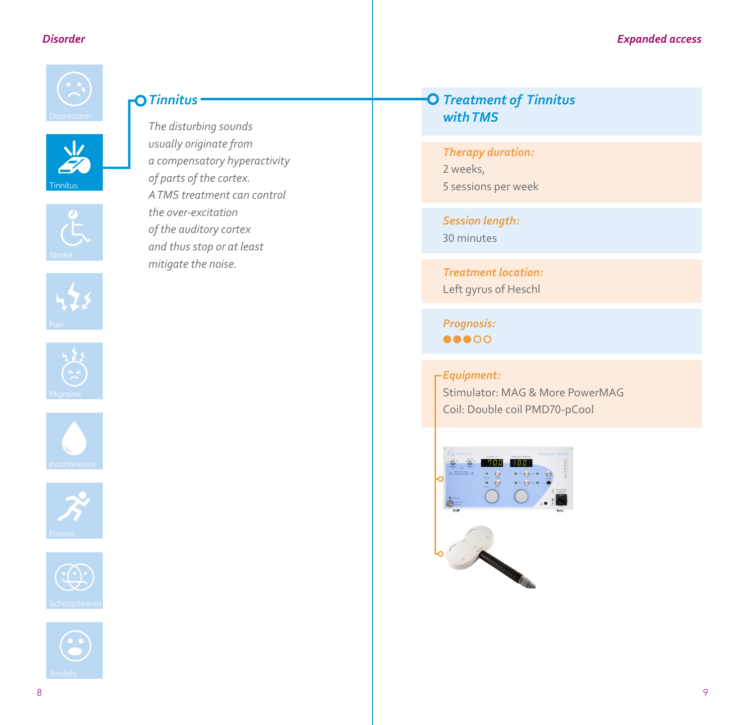

 $\frac{1}{2}$ 

Tinnitus

### *Tinnitus*

*usually originate from a compensatory hyperactivity of parts of the cortex. A TMS treatment can control the over-excitation of the auditory cortex and thus stop or at least mitigate the noise.*













## *The disturbing sounds*

### *Treatment of Tinnitus with TMS*

### *Therapy duration:*

- 2 weeks,
- 5 sessions per week

### *Session length:*

30 minutes

### *Treatment location:* Left gyrus of Heschl

*Prognosis:*  $\bullet\bullet\bullet\circ\circ$ 

### *Equipment:*

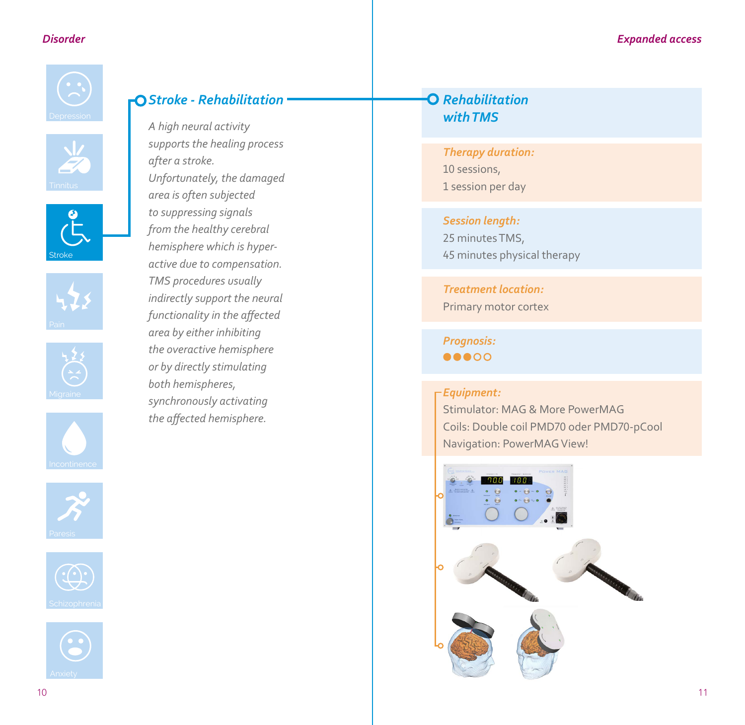### *Disorder*



















### *Stroke - Rehabilitation*

*A high neural activity supports the healing process after a stroke. Unfortunately, the damaged area is often subjected to suppressing signals from the healthy cerebral hemisphere which is hyperactive due to compensation. TMS procedures usually indirectly support the neural functionality in the affected area by either inhibiting the overactive hemisphere or by directly stimulating both hemispheres, synchronously activating the affected hemisphere.*

### *Rehabilitation with TMS*

*Therapy duration:* 10 sessions, 1 session per day

*Session length:* 25 minutes TMS,

45 minutes physical therapy

*Treatment location:* Primary motor cortex

*Prognosis:*  $\bullet\bullet\bullet\circ\circ$ 

### *Equipment:*

Stimulator: MAG & More PowerMAG Coils: Double coil PMD70 oder PMD70-pCool Navigation: PowerMAG View!

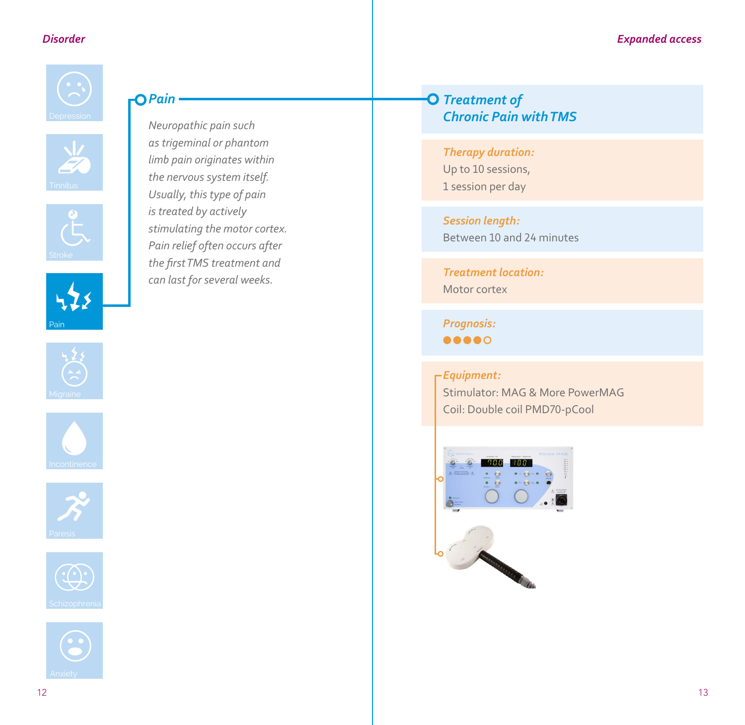





Pain











### *<u>OPain</u>*

*Neuropathic pain such as trigeminal or phantom limb pain originates within the nervous system itself. Usually, this type of pain is treated by actively stimulating the motor cortex. Pain relief often occurs after the first TMS treatment and can last for several weeks.*

### *Treatment of Chronic Pain with TMS*

### *Therapy duration:*

Up to 10 sessions, 1 session per day

*Session length:* Between 10 and 24 minutes

*Treatment location:* Motor cortex

*Prognosis:*  $\bullet\bullet\bullet\bullet\circ$ 

### *Equipment:*

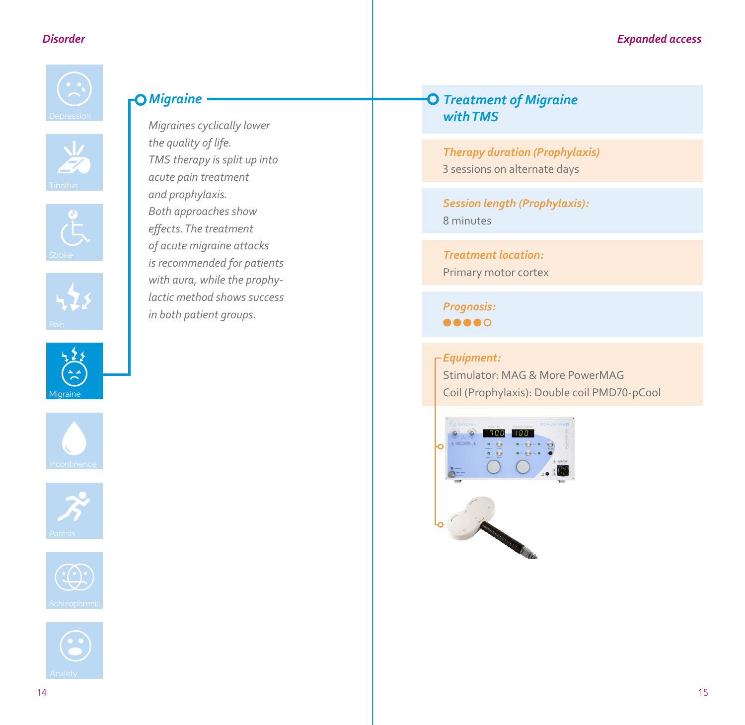

### *Migraine*

*Migraines cyclically lower the quality of life. TMS therapy is split up into acute pain treatment and prophylaxis. Both approaches show effects. The treatment of acute migraine attacks is recommended for patients with aura, while the prophylactic method shows success in both patient groups.*











### *Treatment of Migraine with TMS*

*Therapy duration (Prophylaxis)* 3 sessions on alternate days

*Session length (Prophylaxis):* 8 minutes

*Treatment location:* Primary motor cortex

*Prognosis:* .....

*Equipment:* Stimulator: MAG & More PowerMAG Coil (Prophylaxis): Double coil PMD70-pCool

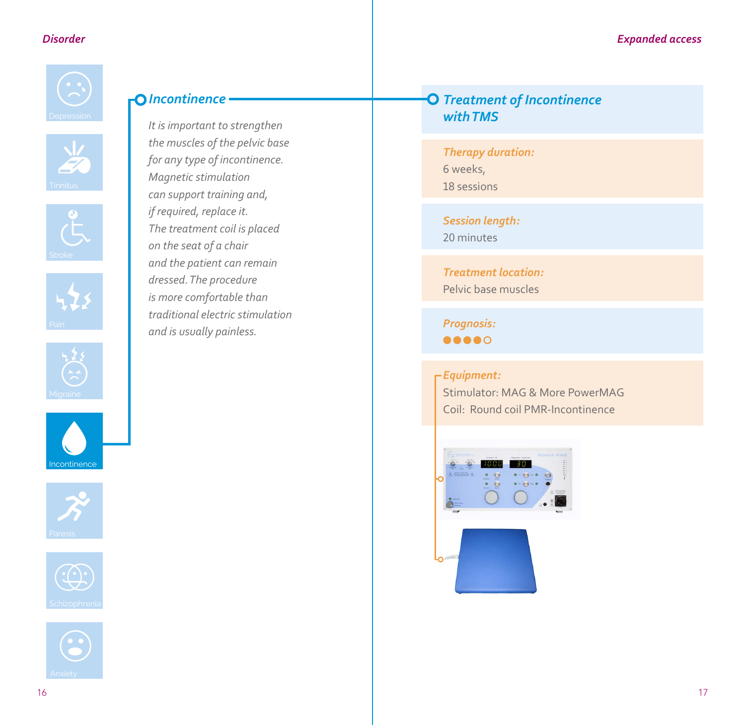

















### *Incontinence*

*It is important to strengthen the muscles of the pelvic base for any type of incontinence. Magnetic stimulation can support training and, if required, replace it. The treatment coil is placed on the seat of a chair and the patient can remain dressed. The procedure is more comfortable than traditional electric stimulation and is usually painless.*

### *Treatment of Incontinence with TMS*

*Therapy duration:* 6 weeks, 18 sessions

*Session length:* 20 minutes

*Treatment location:*  Pelvic base muscles

*Prognosis:*  $\bullet\bullet\bullet\bullet\circ$ 

### *Equipment:*

Stimulator: MAG & More PowerMAG Coil: Round coil PMR-Incontinence

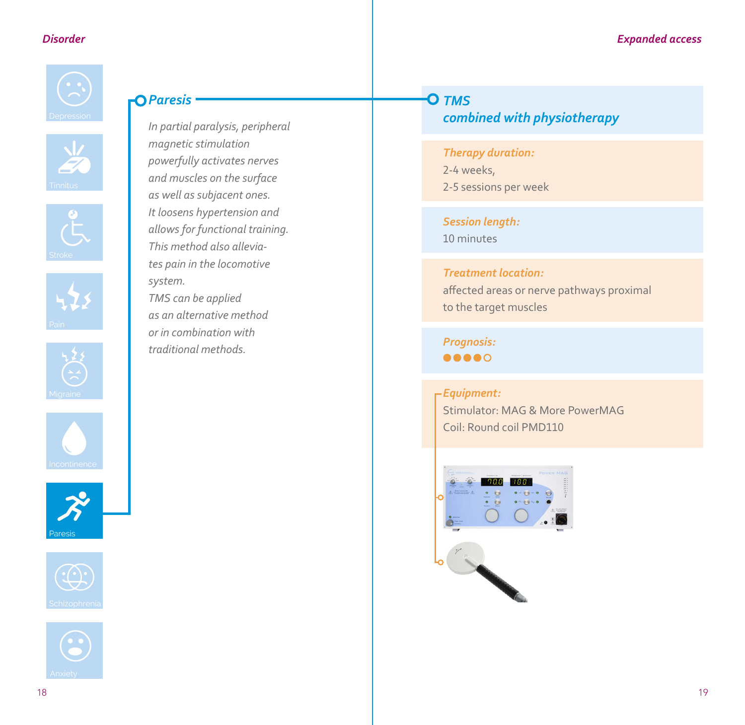

### *Paresis*

*In partial paralysis, peripheral magnetic stimulation powerfully activates nerves and muscles on the surface as well as subjacent ones. It loosens hypertension and allows for functional training. This method also alleviates pain in the locomotive system. TMS can be applied as an alternative method or in combination with traditional methods.*



*combined with physiotherapy*

### *Therapy duration:*

2-4 weeks, 2-5 sessions per week

*Session length:* 10 minutes

### *Treatment location:*

affected areas or nerve pathways proximal to the target muscles

*Prognosis:*  $\bullet\bullet\bullet\bullet\circ$ 

### *Equipment:*

Stimulator: MAG & More PowerMAG Coil: Round coil PMD110



Paresis

 $\boldsymbol{\lambda}^{\prime}$ 

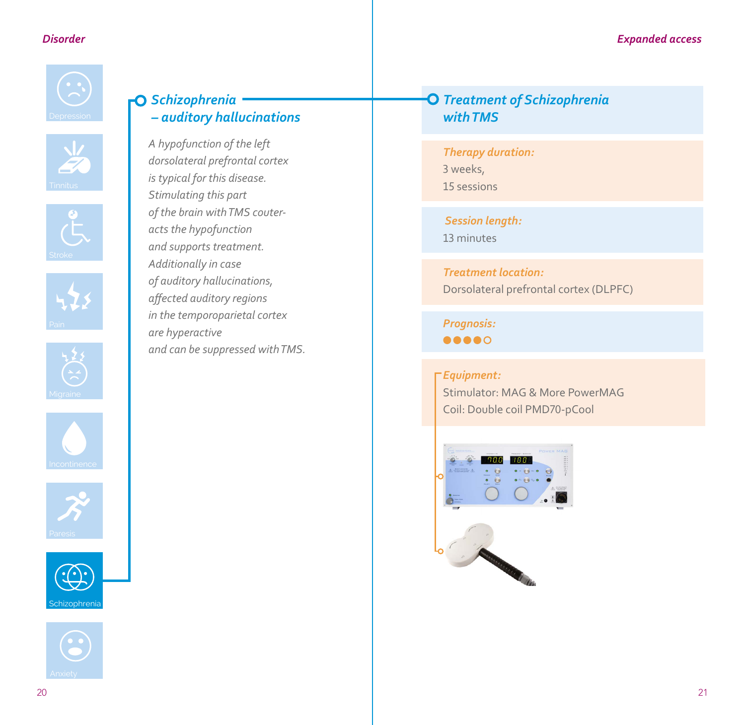

















### *Schizophrenia – auditory hallucinations*

*A hypofunction of the left dorsolateral prefrontal cortex is typical for this disease. Stimulating this part of the brain with TMS couteracts the hypofunction and supports treatment. Additionally in case of auditory hallucinations, affected auditory regions in the temporoparietal cortex are hyperactive and can be suppressed with TMS.* 

### *Treatment of Schizophrenia with TMS*

*Therapy duration:* 3 weeks, 15 sessions

 *Session length:* 13 minutes

*Treatment location:* Dorsolateral prefrontal cortex (DLPFC)

*Prognosis:* 00000

### *Equipment:*

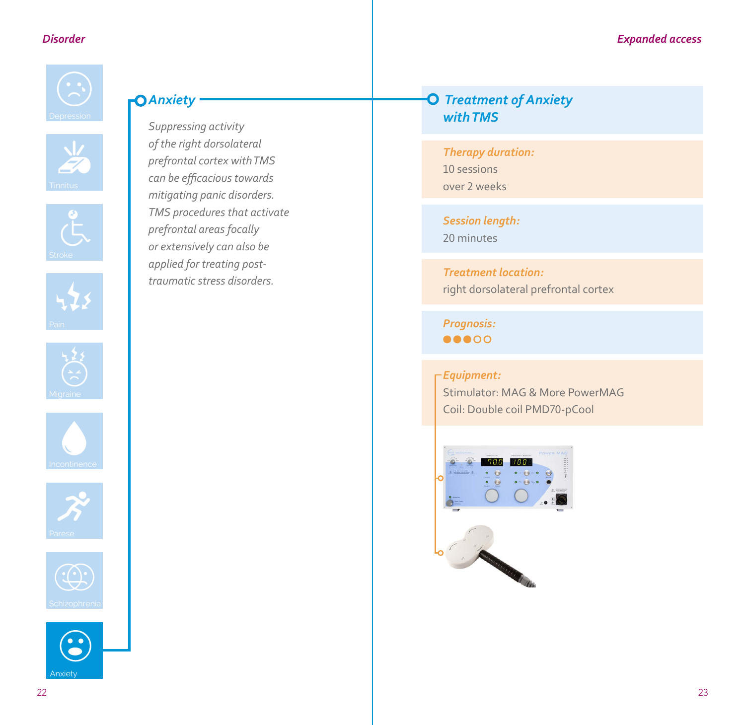

### *Anxiety*

*Suppressing activity of the right dorsolateral prefrontal cortex with TMS can be efficacious towards mitigating panic disorders. TMS procedures that activate prefrontal areas focally or extensively can also be applied for treating posttraumatic stress disorders.*













### *Treatment of Anxiety with TMS*

*Therapy duration:* 10 sessions over 2 weeks

*Session length:* 20 minutes

*Treatment location:* right dorsolateral prefrontal cortex

*Prognosis:*  $\bullet\bullet\bullet\circ\circ$ 

### *Equipment:*

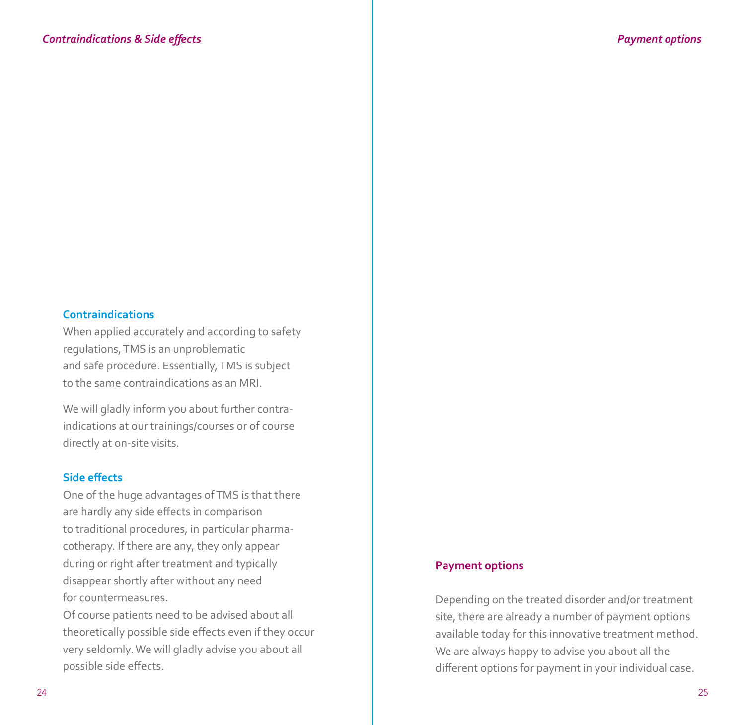### **Contraindications**

When applied accurately and according to safety regulations, TMS is an unproblematic and safe procedure. Essentially, TMS is subject to the same contraindications as an MRI.

We will gladly inform you about further contraindications at our trainings/courses or of course directly at on-site visits.

### **Side effects**

One of the huge advantages of TMS is that there are hardly any side effects in comparison to traditional procedures, in particular pharmacotherapy. If there are any, they only appear during or right after treatment and typically disappear shortly after without any need for countermeasures.

Of course patients need to be advised about all theoretically possible side effects even if they occur very seldomly. We will gladly advise you about all possible side effects.

### **Payment options**

Depending on the treated disorder and/or treatment site, there are already a number of payment options available today for this innovative treatment method. We are always happy to advise you about all the different options for payment in your individual case.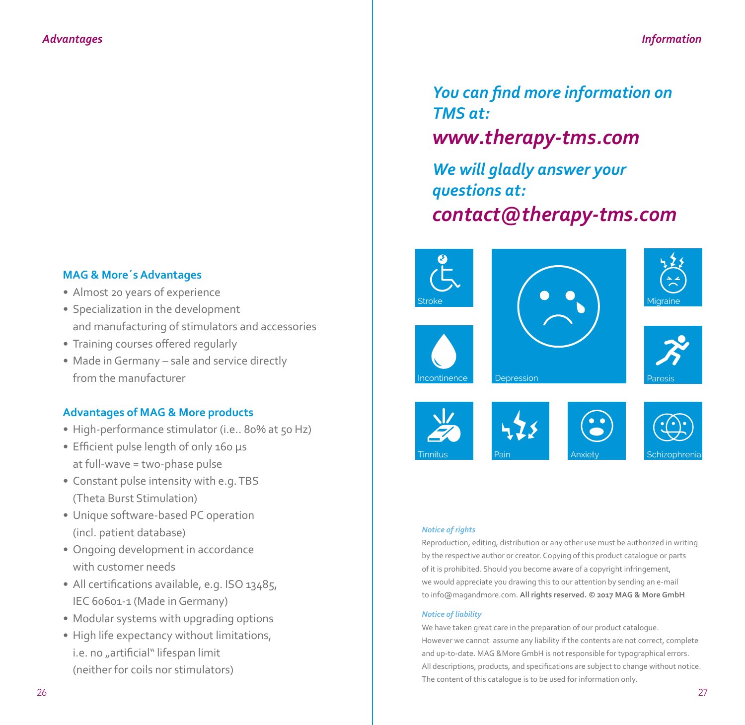### **MAG & More´s Advantages**

- *•* Almost 20 years of experience
- *•* Specialization in the development and manufacturing of stimulators and accessories
- *•* Training courses offered regularly
- *•* Made in Germany sale and service directly from the manufacturer

### **Advantages of MAG & More products**

- High-performance stimulator (i.e.. 80% at 50 Hz)
- *•* Efficient pulse length of only 160 µs at full-wave = two-phase pulse
- *•* Constant pulse intensity with e.g. TBS (Theta Burst Stimulation)
- *•* Unique software-based PC operation (incl. patient database)
- *•* Ongoing development in accordance with customer needs
- All certifications available, e.g. ISO 13485, IEC 60601-1 (Made in Germany)
- *•* Modular systems with upgrading options
- *•* High life expectancy without limitations, i.e. no "artificial" lifespan limit (neither for coils nor stimulators)

*You can find more information on TMS at:*

### *www.therapy-tms.com*

*We will gladly answer your questions at: contact@therapy-tms.com*













**Depression** 





### *Notice of rights*

Reproduction, editing, distribution or any other use must be authorized in writing by the respective author or creator. Copying of this product catalogue or parts of it is prohibited. Should you become aware of a copyright infringement, we would appreciate you drawing this to our attention by sending an e-mail to info@magandmore.com. **All rights reserved. © 2017 MAG & More GmbH**

### *Notice of liability*

We have taken great care in the preparation of our product catalogue. However we cannot assume any liability if the contents are not correct, complete and up-to-date. MAG &More GmbH is not responsible for typographical errors. All descriptions, products, and specifications are subject to change without notice. The content of this catalogue is to be used for information only.